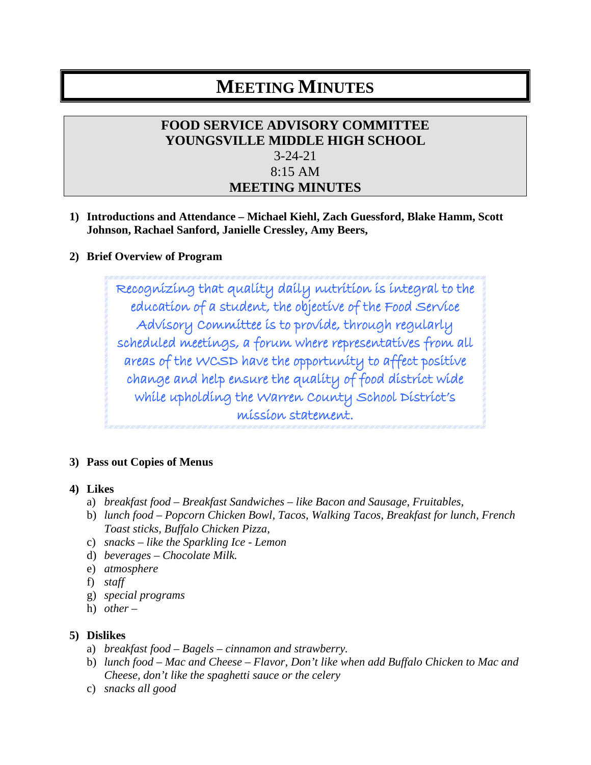# **MEETING MINUTES**

## **FOOD SERVICE ADVISORY COMMITTEE YOUNGSVILLE MIDDLE HIGH SCHOOL** 3-24-21 8:15 AM **MEETING MINUTES**

**1) Introductions and Attendance – Michael Kiehl, Zach Guessford, Blake Hamm, Scott Johnson, Rachael Sanford, Janielle Cressley, Amy Beers,**

### **2) Brief Overview of Program**

Recognizing that quality daily nutrition is integral to the education of a student, the objective of the Food Service Advisory Committee is to provide, through regularly scheduled meetings, a forum where representatives from all areas of the WCSD have the opportunity to affect positive change and help ensure the quality of food district wide while upholding the Warren County School District's mission statement.

#### **3) Pass out Copies of Menus**

#### **4) Likes**

- a) *breakfast food – Breakfast Sandwiches – like Bacon and Sausage, Fruitables,*
- b) *lunch food – Popcorn Chicken Bowl, Tacos, Walking Tacos, Breakfast for lunch, French Toast sticks, Buffalo Chicken Pizza,*
- c) *snacks – like the Sparkling Ice - Lemon*
- d) *beverages – Chocolate Milk.*
- e) *atmosphere*
- f) *staff*
- g) *special programs*
- h) *other –*

#### **5) Dislikes**

- a) *breakfast food – Bagels – cinnamon and strawberry.*
- b) *lunch food – Mac and Cheese – Flavor, Don't like when add Buffalo Chicken to Mac and Cheese, don't like the spaghetti sauce or the celery*
- c) *snacks all good*